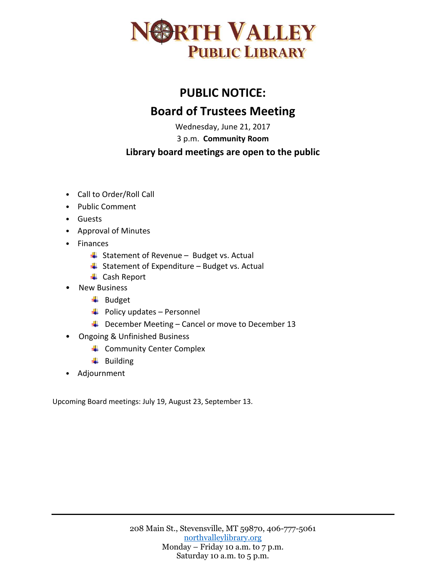

## **PUBLIC NOTICE: Board of Trustees Meeting**

Wednesday, June 21, 2017

3 p.m. **Community Room**

## **Library board meetings are open to the public**

- Call to Order/Roll Call
- Public Comment
- Guests
- Approval of Minutes
- Finances
	- $\downarrow$  Statement of Revenue Budget vs. Actual
	- $\frac{1}{2}$  Statement of Expenditure Budget vs. Actual
	- ← Cash Report
- New Business
	- $\overline{\phantom{a}}$  Budget
	- $\leftarrow$  Policy updates Personnel
	- $\downarrow$  December Meeting Cancel or move to December 13
- Ongoing & Unfinished Business
	- **↓** Community Center Complex
	- $\downarrow$  Building
- Adjournment

Upcoming Board meetings: July 19, August 23, September 13.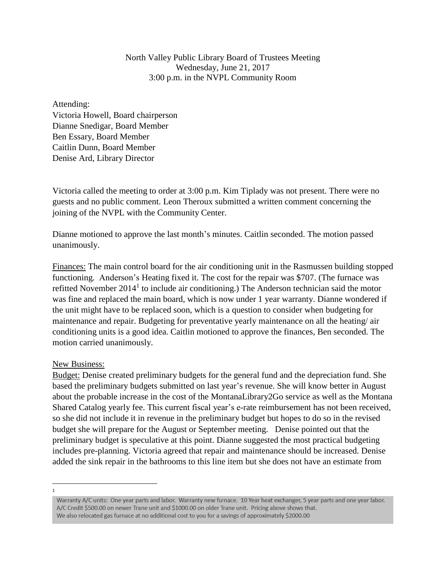North Valley Public Library Board of Trustees Meeting Wednesday, June 21, 2017 3:00 p.m. in the NVPL Community Room

Attending: Victoria Howell, Board chairperson Dianne Snedigar, Board Member Ben Essary, Board Member Caitlin Dunn, Board Member Denise Ard, Library Director

Victoria called the meeting to order at 3:00 p.m. Kim Tiplady was not present. There were no guests and no public comment. Leon Theroux submitted a written comment concerning the joining of the NVPL with the Community Center.

Dianne motioned to approve the last month's minutes. Caitlin seconded. The motion passed unanimously.

Finances: The main control board for the air conditioning unit in the Rasmussen building stopped functioning. Anderson's Heating fixed it. The cost for the repair was \$707. (The furnace was refitted November  $2014<sup>1</sup>$  to include air conditioning.) The Anderson technician said the motor was fine and replaced the main board, which is now under 1 year warranty. Dianne wondered if the unit might have to be replaced soon, which is a question to consider when budgeting for maintenance and repair. Budgeting for preventative yearly maintenance on all the heating/ air conditioning units is a good idea. Caitlin motioned to approve the finances, Ben seconded. The motion carried unanimously.

## New Business:

Budget: Denise created preliminary budgets for the general fund and the depreciation fund. She based the preliminary budgets submitted on last year's revenue. She will know better in August about the probable increase in the cost of the MontanaLibrary2Go service as well as the Montana Shared Catalog yearly fee. This current fiscal year's e-rate reimbursement has not been received, so she did not include it in revenue in the preliminary budget but hopes to do so in the revised budget she will prepare for the August or September meeting. Denise pointed out that the preliminary budget is speculative at this point. Dianne suggested the most practical budgeting includes pre-planning. Victoria agreed that repair and maintenance should be increased. Denise added the sink repair in the bathrooms to this line item but she does not have an estimate from

 $\overline{1}$ 

Warranty A/C units: One year parts and labor. Warranty new furnace. 10 Year heat exchanger, 5 year parts and one year labor. A/C Credit \$500.00 on newer Trane unit and \$1000.00 on older Trane unit. Pricing above shows that. We also relocated gas furnace at no additional cost to you for a savings of approximately \$2000.00